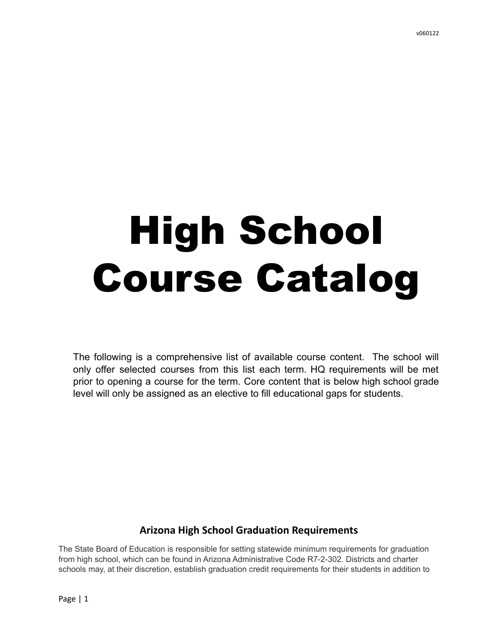# High School Course Catalog

The following is a comprehensive list of available course content. The school will only offer selected courses from this list each term. HQ requirements will be met prior to opening a course for the term. Core content that is below high school grade level will only be assigned as an elective to fill educational gaps for students.

# **Arizona High School Graduation Requirements**

The State Board of Education is responsible for setting statewide minimum requirements for graduation from high school, which can be found in Arizona Administrative Code R7-2-302. Districts and charter schools may, at their discretion, establish graduation credit requirements for their students in addition to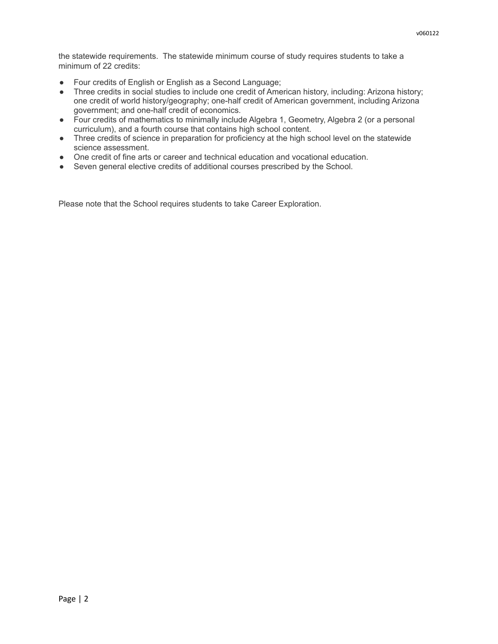the statewide requirements. The statewide minimum course of study requires students to take a minimum of 22 credits:

- Four credits of English or English as a Second Language;
- Three credits in social studies to include one credit of American history, including: Arizona history; one credit of world history/geography; one-half credit of American government, including Arizona government; and one-half credit of economics.
- Four credits of mathematics to minimally include Algebra 1, Geometry, Algebra 2 (or a personal curriculum), and a fourth course that contains high school content.
- Three credits of science in preparation for proficiency at the high school level on the statewide science assessment.
- One credit of fine arts or career and technical education and vocational education.
- Seven general elective credits of additional courses prescribed by the School.

Please note that the School requires students to take Career Exploration.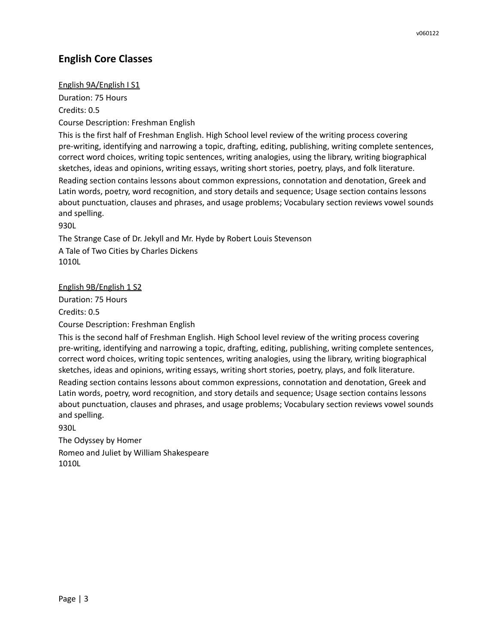# **English Core Classes**

## English 9A/English I S1

Duration: 75 Hours

Credits: 0.5

Course Description: Freshman English

This is the first half of Freshman English. High School level review of the writing process covering pre-writing, identifying and narrowing a topic, drafting, editing, publishing, writing complete sentences, correct word choices, writing topic sentences, writing analogies, using the library, writing biographical sketches, ideas and opinions, writing essays, writing short stories, poetry, plays, and folk literature.

Reading section contains lessons about common expressions, connotation and denotation, Greek and Latin words, poetry, word recognition, and story details and sequence; Usage section contains lessons about punctuation, clauses and phrases, and usage problems; Vocabulary section reviews vowel sounds and spelling.

930L

The Strange Case of Dr. Jekyll and Mr. Hyde by Robert Louis Stevenson A Tale of Two Cities by Charles Dickens 1010L

## English 9B/English 1 S2

Duration: 75 Hours

Credits: 0.5

Course Description: Freshman English

This is the second half of Freshman English. High School level review of the writing process covering pre-writing, identifying and narrowing a topic, drafting, editing, publishing, writing complete sentences, correct word choices, writing topic sentences, writing analogies, using the library, writing biographical sketches, ideas and opinions, writing essays, writing short stories, poetry, plays, and folk literature.

Reading section contains lessons about common expressions, connotation and denotation, Greek and Latin words, poetry, word recognition, and story details and sequence; Usage section contains lessons about punctuation, clauses and phrases, and usage problems; Vocabulary section reviews vowel sounds and spelling.

930L

The Odyssey by Homer Romeo and Juliet by William Shakespeare 1010L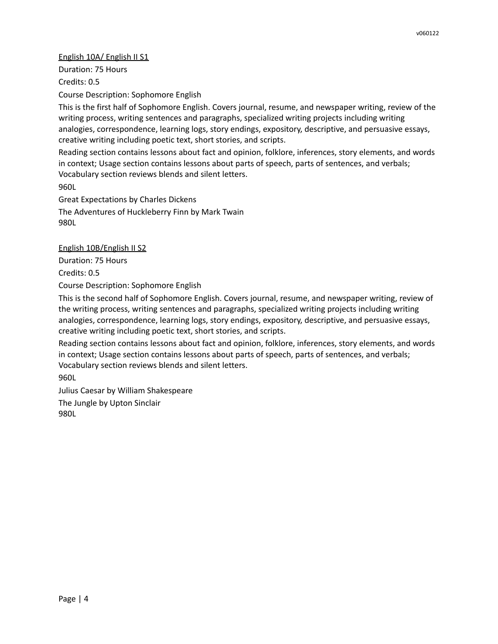## English 10A/ English II S1

Duration: 75 Hours Credits: 0.5

Course Description: Sophomore English

This is the first half of Sophomore English. Covers journal, resume, and newspaper writing, review of the writing process, writing sentences and paragraphs, specialized writing projects including writing analogies, correspondence, learning logs, story endings, expository, descriptive, and persuasive essays, creative writing including poetic text, short stories, and scripts.

Reading section contains lessons about fact and opinion, folklore, inferences, story elements, and words in context; Usage section contains lessons about parts of speech, parts of sentences, and verbals; Vocabulary section reviews blends and silent letters.

960L

Great Expectations by Charles Dickens The Adventures of Huckleberry Finn by Mark Twain 980L

English 10B/English II S2

Duration: 75 Hours

Credits: 0.5

Course Description: Sophomore English

This is the second half of Sophomore English. Covers journal, resume, and newspaper writing, review of the writing process, writing sentences and paragraphs, specialized writing projects including writing analogies, correspondence, learning logs, story endings, expository, descriptive, and persuasive essays, creative writing including poetic text, short stories, and scripts.

Reading section contains lessons about fact and opinion, folklore, inferences, story elements, and words in context; Usage section contains lessons about parts of speech, parts of sentences, and verbals; Vocabulary section reviews blends and silent letters.

960L

Julius Caesar by William Shakespeare The Jungle by Upton Sinclair 980L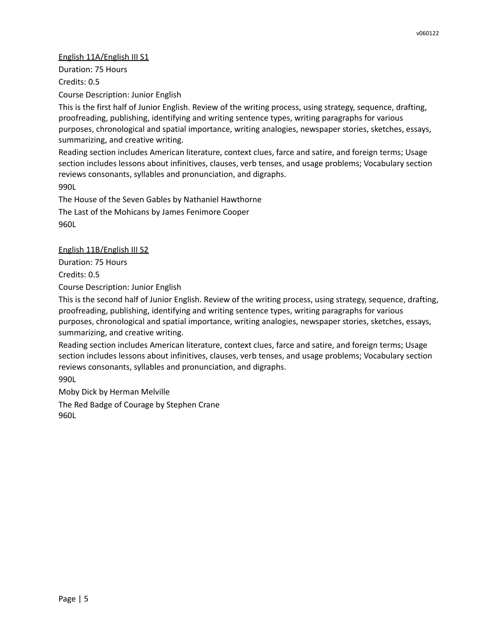## English 11A/English III S1

Duration: 75 Hours Credits: 0.5

Course Description: Junior English

This is the first half of Junior English. Review of the writing process, using strategy, sequence, drafting, proofreading, publishing, identifying and writing sentence types, writing paragraphs for various purposes, chronological and spatial importance, writing analogies, newspaper stories, sketches, essays, summarizing, and creative writing.

Reading section includes American literature, context clues, farce and satire, and foreign terms; Usage section includes lessons about infinitives, clauses, verb tenses, and usage problems; Vocabulary section reviews consonants, syllables and pronunciation, and digraphs. 990L

The House of the Seven Gables by Nathaniel Hawthorne The Last of the Mohicans by James Fenimore Cooper 960L

English 11B/English III S2

Duration: 75 Hours

Credits: 0.5

Course Description: Junior English

This is the second half of Junior English. Review of the writing process, using strategy, sequence, drafting, proofreading, publishing, identifying and writing sentence types, writing paragraphs for various purposes, chronological and spatial importance, writing analogies, newspaper stories, sketches, essays, summarizing, and creative writing.

Reading section includes American literature, context clues, farce and satire, and foreign terms; Usage section includes lessons about infinitives, clauses, verb tenses, and usage problems; Vocabulary section reviews consonants, syllables and pronunciation, and digraphs.

990L

Moby Dick by Herman Melville

The Red Badge of Courage by Stephen Crane 960L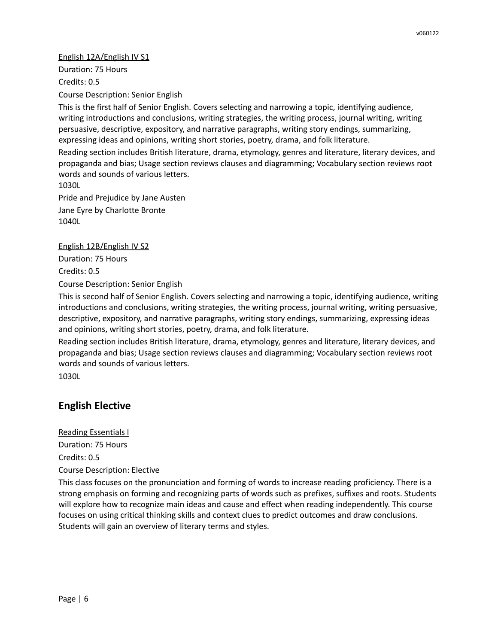#### English 12A/English IV S1

Duration: 75 Hours Credits: 0.5

Course Description: Senior English

This is the first half of Senior English. Covers selecting and narrowing a topic, identifying audience, writing introductions and conclusions, writing strategies, the writing process, journal writing, writing persuasive, descriptive, expository, and narrative paragraphs, writing story endings, summarizing, expressing ideas and opinions, writing short stories, poetry, drama, and folk literature.

Reading section includes British literature, drama, etymology, genres and literature, literary devices, and propaganda and bias; Usage section reviews clauses and diagramming; Vocabulary section reviews root words and sounds of various letters.

1030L

Pride and Prejudice by Jane Austen

Jane Eyre by Charlotte Bronte 1040L

English 12B/English IV S2

Duration: 75 Hours

Credits: 0.5

Course Description: Senior English

This is second half of Senior English. Covers selecting and narrowing a topic, identifying audience, writing introductions and conclusions, writing strategies, the writing process, journal writing, writing persuasive, descriptive, expository, and narrative paragraphs, writing story endings, summarizing, expressing ideas and opinions, writing short stories, poetry, drama, and folk literature.

Reading section includes British literature, drama, etymology, genres and literature, literary devices, and propaganda and bias; Usage section reviews clauses and diagramming; Vocabulary section reviews root words and sounds of various letters.

1030L

# **English Elective**

Reading Essentials I Duration: 75 Hours Credits: 0.5 Course Description: Elective

This class focuses on the pronunciation and forming of words to increase reading proficiency. There is a strong emphasis on forming and recognizing parts of words such as prefixes, suffixes and roots. Students will explore how to recognize main ideas and cause and effect when reading independently. This course focuses on using critical thinking skills and context clues to predict outcomes and draw conclusions. Students will gain an overview of literary terms and styles.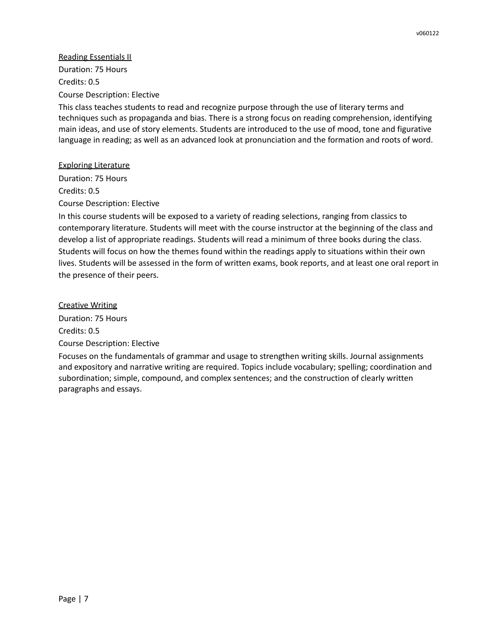## Reading Essentials II

Duration: 75 Hours Credits: 0.5 Course Description: Elective

This class teaches students to read and recognize purpose through the use of literary terms and techniques such as propaganda and bias. There is a strong focus on reading comprehension, identifying main ideas, and use of story elements. Students are introduced to the use of mood, tone and figurative language in reading; as well as an advanced look at pronunciation and the formation and roots of word.

## Exploring Literature

Duration: 75 Hours Credits: 0.5 Course Description: Elective

In this course students will be exposed to a variety of reading selections, ranging from classics to contemporary literature. Students will meet with the course instructor at the beginning of the class and develop a list of appropriate readings. Students will read a minimum of three books during the class. Students will focus on how the themes found within the readings apply to situations within their own lives. Students will be assessed in the form of written exams, book reports, and at least one oral report in the presence of their peers.

## Creative Writing

Duration: 75 Hours Credits: 0.5 Course Description: Elective

Focuses on the fundamentals of grammar and usage to strengthen writing skills. Journal assignments and expository and narrative writing are required. Topics include vocabulary; spelling; coordination and subordination; simple, compound, and complex sentences; and the construction of clearly written paragraphs and essays.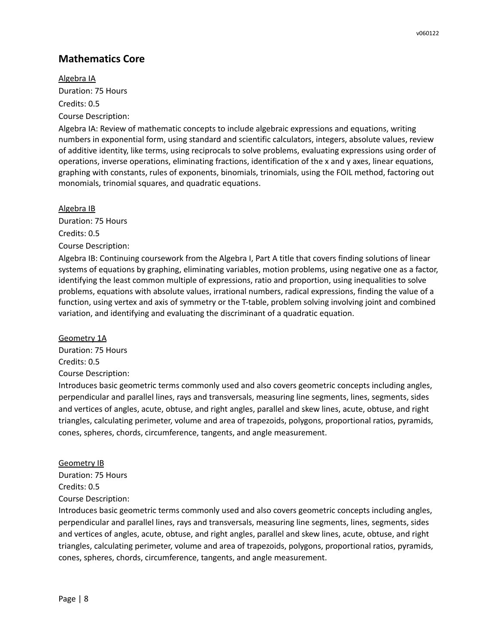# **Mathematics Core**

Algebra IA Duration: 75 Hours Credits: 0.5 Course Description:

Algebra IA: Review of mathematic concepts to include algebraic expressions and equations, writing numbers in exponential form, using standard and scientific calculators, integers, absolute values, review of additive identity, like terms, using reciprocals to solve problems, evaluating expressions using order of operations, inverse operations, eliminating fractions, identification of the x and y axes, linear equations, graphing with constants, rules of exponents, binomials, trinomials, using the FOIL method, factoring out monomials, trinomial squares, and quadratic equations.

Algebra IB Duration: 75 Hours Credits: 0.5 Course Description:

Algebra IB: Continuing coursework from the Algebra I, Part A title that covers finding solutions of linear systems of equations by graphing, eliminating variables, motion problems, using negative one as a factor, identifying the least common multiple of expressions, ratio and proportion, using inequalities to solve problems, equations with absolute values, irrational numbers, radical expressions, finding the value of a function, using vertex and axis of symmetry or the T-table, problem solving involving joint and combined variation, and identifying and evaluating the discriminant of a quadratic equation.

Geometry 1A

Duration: 75 Hours Credits: 0.5 Course Description:

Introduces basic geometric terms commonly used and also covers geometric concepts including angles, perpendicular and parallel lines, rays and transversals, measuring line segments, lines, segments, sides and vertices of angles, acute, obtuse, and right angles, parallel and skew lines, acute, obtuse, and right triangles, calculating perimeter, volume and area of trapezoids, polygons, proportional ratios, pyramids, cones, spheres, chords, circumference, tangents, and angle measurement.

#### Geometry IB

Duration: 75 Hours Credits: 0.5 Course Description:

Introduces basic geometric terms commonly used and also covers geometric concepts including angles, perpendicular and parallel lines, rays and transversals, measuring line segments, lines, segments, sides and vertices of angles, acute, obtuse, and right angles, parallel and skew lines, acute, obtuse, and right triangles, calculating perimeter, volume and area of trapezoids, polygons, proportional ratios, pyramids, cones, spheres, chords, circumference, tangents, and angle measurement.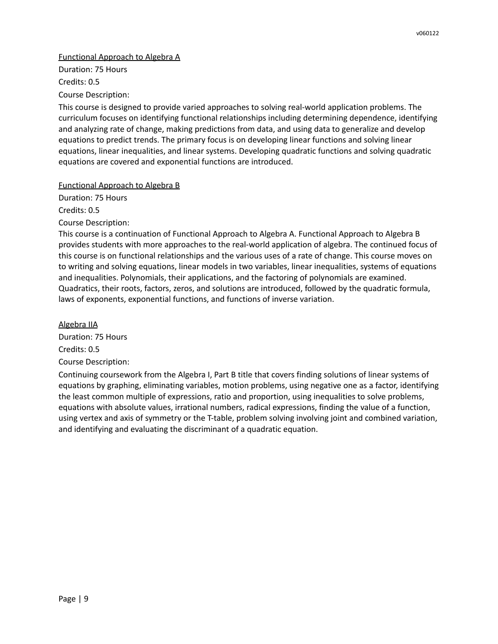#### Functional Approach to Algebra A

Duration: 75 Hours Credits: 0.5

Course Description:

This course is designed to provide varied approaches to solving real-world application problems. The curriculum focuses on identifying functional relationships including determining dependence, identifying and analyzing rate of change, making predictions from data, and using data to generalize and develop equations to predict trends. The primary focus is on developing linear functions and solving linear equations, linear inequalities, and linear systems. Developing quadratic functions and solving quadratic equations are covered and exponential functions are introduced.

## Functional Approach to Algebra B

Duration: 75 Hours Credits: 0.5

Course Description:

This course is a continuation of Functional Approach to Algebra A. Functional Approach to Algebra B provides students with more approaches to the real-world application of algebra. The continued focus of this course is on functional relationships and the various uses of a rate of change. This course moves on to writing and solving equations, linear models in two variables, linear inequalities, systems of equations and inequalities. Polynomials, their applications, and the factoring of polynomials are examined. Quadratics, their roots, factors, zeros, and solutions are introduced, followed by the quadratic formula, laws of exponents, exponential functions, and functions of inverse variation.

Algebra IIA Duration: 75 Hours Credits: 0.5 Course Description:

Continuing coursework from the Algebra I, Part B title that covers finding solutions of linear systems of equations by graphing, eliminating variables, motion problems, using negative one as a factor, identifying the least common multiple of expressions, ratio and proportion, using inequalities to solve problems, equations with absolute values, irrational numbers, radical expressions, finding the value of a function, using vertex and axis of symmetry or the T-table, problem solving involving joint and combined variation, and identifying and evaluating the discriminant of a quadratic equation.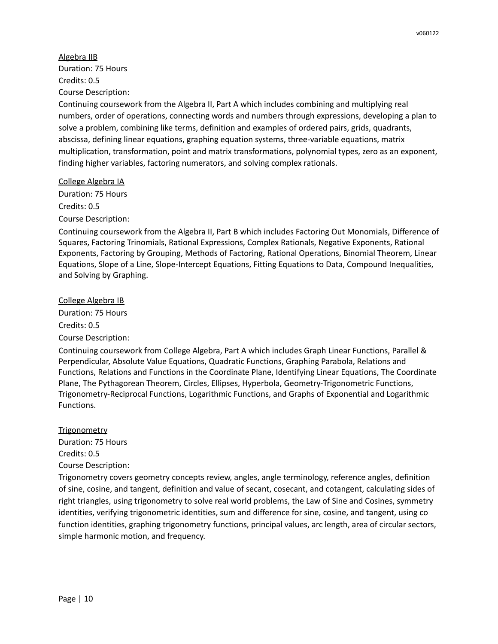Algebra IIB Duration: 75 Hours Credits: 0.5 Course Description:

Continuing coursework from the Algebra II, Part A which includes combining and multiplying real numbers, order of operations, connecting words and numbers through expressions, developing a plan to solve a problem, combining like terms, definition and examples of ordered pairs, grids, quadrants, abscissa, defining linear equations, graphing equation systems, three-variable equations, matrix multiplication, transformation, point and matrix transformations, polynomial types, zero as an exponent, finding higher variables, factoring numerators, and solving complex rationals.

College Algebra IA

Duration: 75 Hours Credits: 0.5

Course Description:

Continuing coursework from the Algebra II, Part B which includes Factoring Out Monomials, Difference of Squares, Factoring Trinomials, Rational Expressions, Complex Rationals, Negative Exponents, Rational Exponents, Factoring by Grouping, Methods of Factoring, Rational Operations, Binomial Theorem, Linear Equations, Slope of a Line, Slope-Intercept Equations, Fitting Equations to Data, Compound Inequalities, and Solving by Graphing.

College Algebra IB

Duration: 75 Hours Credits: 0.5

Course Description:

Continuing coursework from College Algebra, Part A which includes Graph Linear Functions, Parallel & Perpendicular, Absolute Value Equations, Quadratic Functions, Graphing Parabola, Relations and Functions, Relations and Functions in the Coordinate Plane, Identifying Linear Equations, The Coordinate Plane, The Pythagorean Theorem, Circles, Ellipses, Hyperbola, Geometry-Trigonometric Functions, Trigonometry-Reciprocal Functions, Logarithmic Functions, and Graphs of Exponential and Logarithmic Functions.

## **Trigonometry**

Duration: 75 Hours Credits: 0.5 Course Description:

Trigonometry covers geometry concepts review, angles, angle terminology, reference angles, definition of sine, cosine, and tangent, definition and value of secant, cosecant, and cotangent, calculating sides of right triangles, using trigonometry to solve real world problems, the Law of Sine and Cosines, symmetry identities, verifying trigonometric identities, sum and difference for sine, cosine, and tangent, using co function identities, graphing trigonometry functions, principal values, arc length, area of circular sectors, simple harmonic motion, and frequency.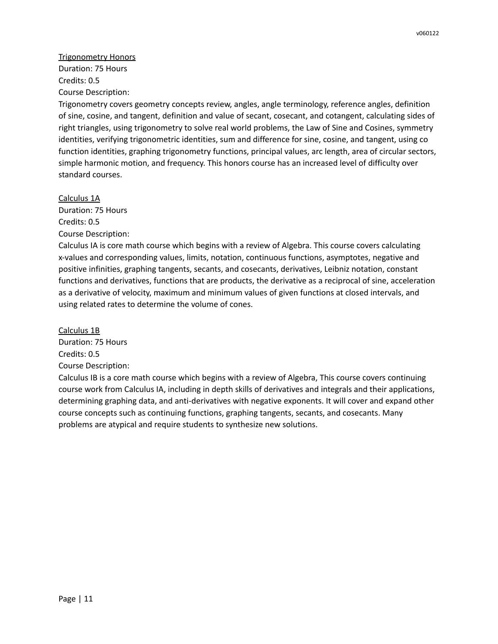Trigonometry Honors Duration: 75 Hours Credits: 0.5 Course Description:

Trigonometry covers geometry concepts review, angles, angle terminology, reference angles, definition of sine, cosine, and tangent, definition and value of secant, cosecant, and cotangent, calculating sides of right triangles, using trigonometry to solve real world problems, the Law of Sine and Cosines, symmetry identities, verifying trigonometric identities, sum and difference for sine, cosine, and tangent, using co function identities, graphing trigonometry functions, principal values, arc length, area of circular sectors, simple harmonic motion, and frequency. This honors course has an increased level of difficulty over standard courses.

Calculus 1A Duration: 75 Hours Credits: 0.5 Course Description:

Calculus IA is core math course which begins with a review of Algebra. This course covers calculating x-values and corresponding values, limits, notation, continuous functions, asymptotes, negative and positive infinities, graphing tangents, secants, and cosecants, derivatives, Leibniz notation, constant functions and derivatives, functions that are products, the derivative as a reciprocal of sine, acceleration as a derivative of velocity, maximum and minimum values of given functions at closed intervals, and using related rates to determine the volume of cones.

Calculus 1B Duration: 75 Hours Credits: 0.5 Course Description:

Calculus IB is a core math course which begins with a review of Algebra, This course covers continuing course work from Calculus IA, including in depth skills of derivatives and integrals and their applications, determining graphing data, and anti-derivatives with negative exponents. It will cover and expand other course concepts such as continuing functions, graphing tangents, secants, and cosecants. Many problems are atypical and require students to synthesize new solutions.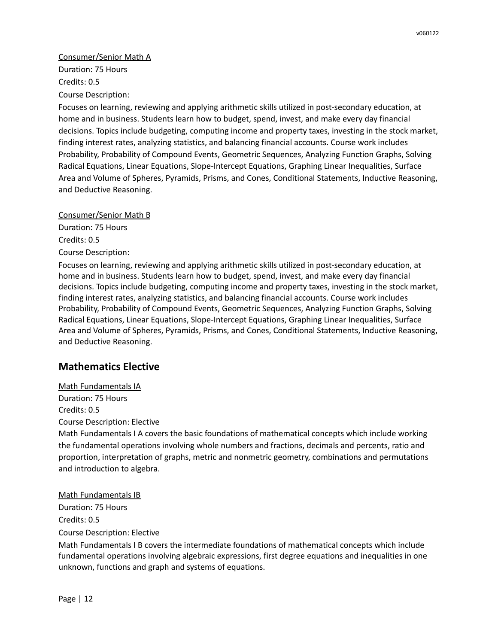## Consumer/Senior Math A

Duration: 75 Hours Credits: 0.5 Course Description:

Focuses on learning, reviewing and applying arithmetic skills utilized in post-secondary education, at home and in business. Students learn how to budget, spend, invest, and make every day financial decisions. Topics include budgeting, computing income and property taxes, investing in the stock market, finding interest rates, analyzing statistics, and balancing financial accounts. Course work includes Probability, Probability of Compound Events, Geometric Sequences, Analyzing Function Graphs, Solving Radical Equations, Linear Equations, Slope-Intercept Equations, Graphing Linear Inequalities, Surface Area and Volume of Spheres, Pyramids, Prisms, and Cones, Conditional Statements, Inductive Reasoning, and Deductive Reasoning.

Consumer/Senior Math B

Duration: 75 Hours Credits: 0.5 Course Description:

Focuses on learning, reviewing and applying arithmetic skills utilized in post-secondary education, at home and in business. Students learn how to budget, spend, invest, and make every day financial decisions. Topics include budgeting, computing income and property taxes, investing in the stock market, finding interest rates, analyzing statistics, and balancing financial accounts. Course work includes Probability, Probability of Compound Events, Geometric Sequences, Analyzing Function Graphs, Solving Radical Equations, Linear Equations, Slope-Intercept Equations, Graphing Linear Inequalities, Surface Area and Volume of Spheres, Pyramids, Prisms, and Cones, Conditional Statements, Inductive Reasoning, and Deductive Reasoning.

# **Mathematics Elective**

Math Fundamentals IA Duration: 75 Hours Credits: 0.5 Course Description: Elective

Math Fundamentals I A covers the basic foundations of mathematical concepts which include working the fundamental operations involving whole numbers and fractions, decimals and percents, ratio and proportion, interpretation of graphs, metric and nonmetric geometry, combinations and permutations and introduction to algebra.

Math Fundamentals IB

Duration: 75 Hours

Credits: 0.5

Course Description: Elective

Math Fundamentals I B covers the intermediate foundations of mathematical concepts which include fundamental operations involving algebraic expressions, first degree equations and inequalities in one unknown, functions and graph and systems of equations.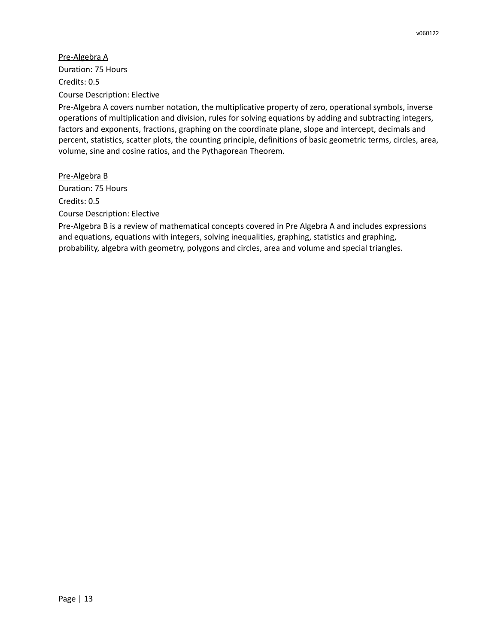Pre-Algebra A Duration: 75 Hours Credits: 0.5 Course Description: Elective

Pre-Algebra A covers number notation, the multiplicative property of zero, operational symbols, inverse operations of multiplication and division, rules for solving equations by adding and subtracting integers, factors and exponents, fractions, graphing on the coordinate plane, slope and intercept, decimals and percent, statistics, scatter plots, the counting principle, definitions of basic geometric terms, circles, area, volume, sine and cosine ratios, and the Pythagorean Theorem.

Pre-Algebra B Duration: 75 Hours Credits: 0.5 Course Description: Elective

Pre-Algebra B is a review of mathematical concepts covered in Pre Algebra A and includes expressions and equations, equations with integers, solving inequalities, graphing, statistics and graphing, probability, algebra with geometry, polygons and circles, area and volume and special triangles.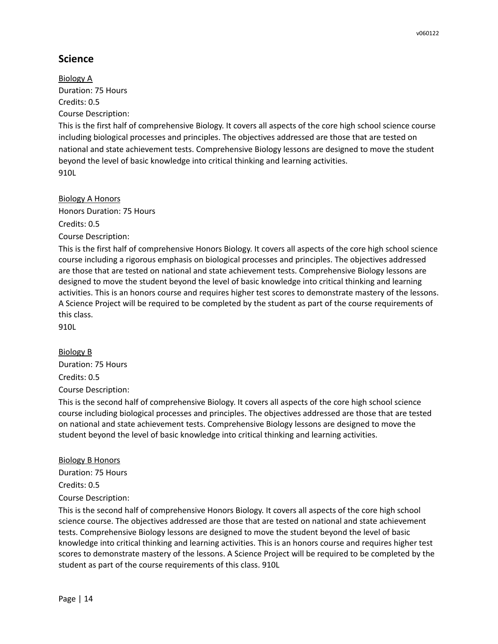# **Science**

Biology A Duration: 75 Hours Credits: 0.5 Course Description:

This is the first half of comprehensive Biology. It covers all aspects of the core high school science course including biological processes and principles. The objectives addressed are those that are tested on national and state achievement tests. Comprehensive Biology lessons are designed to move the student beyond the level of basic knowledge into critical thinking and learning activities. 910L

Biology A Honors Honors Duration: 75 Hours Credits: 0.5 Course Description:

This is the first half of comprehensive Honors Biology. It covers all aspects of the core high school science course including a rigorous emphasis on biological processes and principles. The objectives addressed are those that are tested on national and state achievement tests. Comprehensive Biology lessons are designed to move the student beyond the level of basic knowledge into critical thinking and learning activities. This is an honors course and requires higher test scores to demonstrate mastery of the lessons. A Science Project will be required to be completed by the student as part of the course requirements of this class.

910L

## Biology B

Duration: 75 Hours Credits: 0.5

Course Description:

This is the second half of comprehensive Biology. It covers all aspects of the core high school science course including biological processes and principles. The objectives addressed are those that are tested on national and state achievement tests. Comprehensive Biology lessons are designed to move the student beyond the level of basic knowledge into critical thinking and learning activities.

#### Biology B Honors

Duration: 75 Hours Credits: 0.5 Course Description:

This is the second half of comprehensive Honors Biology. It covers all aspects of the core high school science course. The objectives addressed are those that are tested on national and state achievement tests. Comprehensive Biology lessons are designed to move the student beyond the level of basic knowledge into critical thinking and learning activities. This is an honors course and requires higher test scores to demonstrate mastery of the lessons. A Science Project will be required to be completed by the student as part of the course requirements of this class. 910L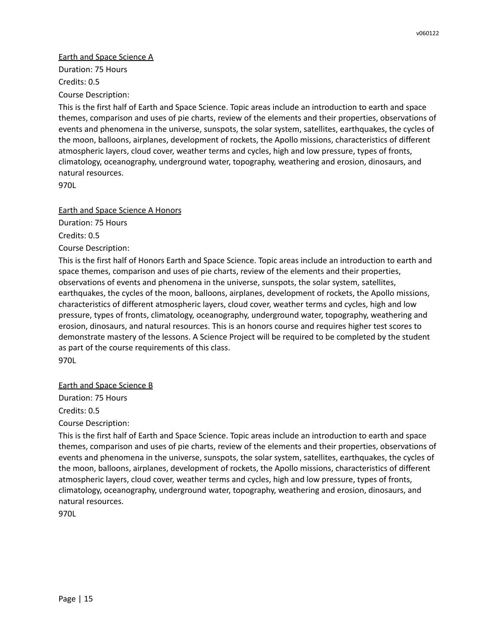## Earth and Space Science A

Duration: 75 Hours Credits: 0.5

Course Description:

This is the first half of Earth and Space Science. Topic areas include an introduction to earth and space themes, comparison and uses of pie charts, review of the elements and their properties, observations of events and phenomena in the universe, sunspots, the solar system, satellites, earthquakes, the cycles of the moon, balloons, airplanes, development of rockets, the Apollo missions, characteristics of different atmospheric layers, cloud cover, weather terms and cycles, high and low pressure, types of fronts, climatology, oceanography, underground water, topography, weathering and erosion, dinosaurs, and natural resources.

970L

Earth and Space Science A Honors

Duration: 75 Hours

Credits: 0.5

Course Description:

This is the first half of Honors Earth and Space Science. Topic areas include an introduction to earth and space themes, comparison and uses of pie charts, review of the elements and their properties, observations of events and phenomena in the universe, sunspots, the solar system, satellites, earthquakes, the cycles of the moon, balloons, airplanes, development of rockets, the Apollo missions, characteristics of different atmospheric layers, cloud cover, weather terms and cycles, high and low pressure, types of fronts, climatology, oceanography, underground water, topography, weathering and erosion, dinosaurs, and natural resources. This is an honors course and requires higher test scores to demonstrate mastery of the lessons. A Science Project will be required to be completed by the student as part of the course requirements of this class.

970L

Earth and Space Science B

Duration: 75 Hours Credits: 0.5

Course Description:

This is the first half of Earth and Space Science. Topic areas include an introduction to earth and space themes, comparison and uses of pie charts, review of the elements and their properties, observations of events and phenomena in the universe, sunspots, the solar system, satellites, earthquakes, the cycles of the moon, balloons, airplanes, development of rockets, the Apollo missions, characteristics of different atmospheric layers, cloud cover, weather terms and cycles, high and low pressure, types of fronts, climatology, oceanography, underground water, topography, weathering and erosion, dinosaurs, and natural resources.

970L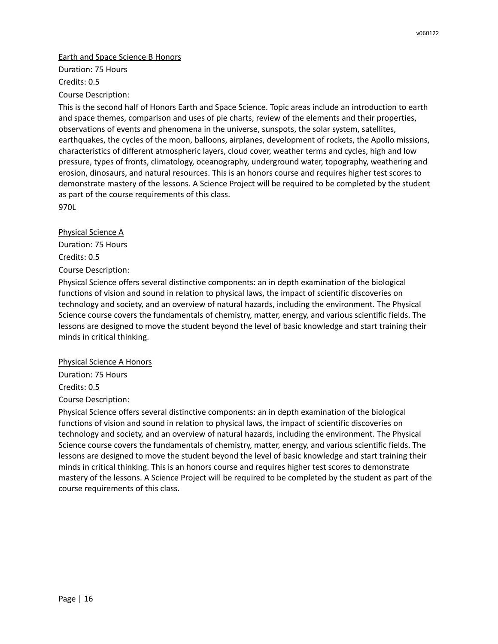#### Earth and Space Science B Honors

Duration: 75 Hours Credits: 0.5

Course Description:

This is the second half of Honors Earth and Space Science. Topic areas include an introduction to earth and space themes, comparison and uses of pie charts, review of the elements and their properties, observations of events and phenomena in the universe, sunspots, the solar system, satellites, earthquakes, the cycles of the moon, balloons, airplanes, development of rockets, the Apollo missions, characteristics of different atmospheric layers, cloud cover, weather terms and cycles, high and low pressure, types of fronts, climatology, oceanography, underground water, topography, weathering and erosion, dinosaurs, and natural resources. This is an honors course and requires higher test scores to demonstrate mastery of the lessons. A Science Project will be required to be completed by the student as part of the course requirements of this class. 970L

Physical Science A

Duration: 75 Hours Credits: 0.5 Course Description:

Physical Science offers several distinctive components: an in depth examination of the biological functions of vision and sound in relation to physical laws, the impact of scientific discoveries on technology and society, and an overview of natural hazards, including the environment. The Physical Science course covers the fundamentals of chemistry, matter, energy, and various scientific fields. The lessons are designed to move the student beyond the level of basic knowledge and start training their minds in critical thinking.

Physical Science A Honors

Duration: 75 Hours

Credits: 0.5

Course Description:

Physical Science offers several distinctive components: an in depth examination of the biological functions of vision and sound in relation to physical laws, the impact of scientific discoveries on technology and society, and an overview of natural hazards, including the environment. The Physical Science course covers the fundamentals of chemistry, matter, energy, and various scientific fields. The lessons are designed to move the student beyond the level of basic knowledge and start training their minds in critical thinking. This is an honors course and requires higher test scores to demonstrate mastery of the lessons. A Science Project will be required to be completed by the student as part of the course requirements of this class.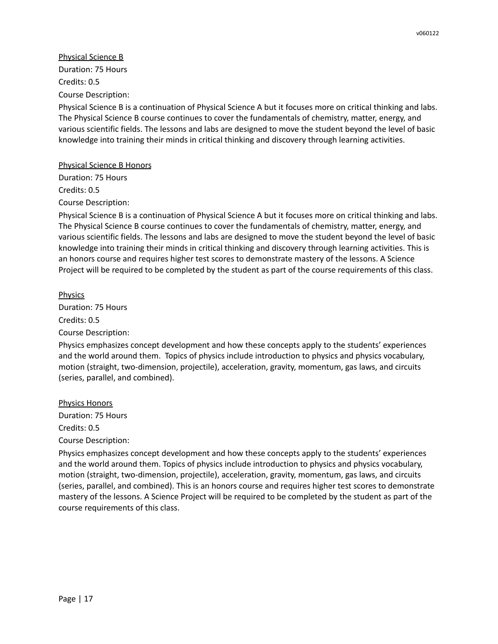Physical Science B Duration: 75 Hours Credits: 0.5 Course Description:

Physical Science B is a continuation of Physical Science A but it focuses more on critical thinking and labs. The Physical Science B course continues to cover the fundamentals of chemistry, matter, energy, and various scientific fields. The lessons and labs are designed to move the student beyond the level of basic knowledge into training their minds in critical thinking and discovery through learning activities.

#### Physical Science B Honors

Duration: 75 Hours Credits: 0.5 Course Description:

Physical Science B is a continuation of Physical Science A but it focuses more on critical thinking and labs. The Physical Science B course continues to cover the fundamentals of chemistry, matter, energy, and various scientific fields. The lessons and labs are designed to move the student beyond the level of basic knowledge into training their minds in critical thinking and discovery through learning activities. This is an honors course and requires higher test scores to demonstrate mastery of the lessons. A Science Project will be required to be completed by the student as part of the course requirements of this class.

**Physics** Duration: 75 Hours Credits: 0.5 Course Description:

Physics emphasizes concept development and how these concepts apply to the students' experiences and the world around them. Topics of physics include introduction to physics and physics vocabulary, motion (straight, two-dimension, projectile), acceleration, gravity, momentum, gas laws, and circuits (series, parallel, and combined).

Physics Honors Duration: 75 Hours Credits: 0.5 Course Description:

Physics emphasizes concept development and how these concepts apply to the students' experiences and the world around them. Topics of physics include introduction to physics and physics vocabulary, motion (straight, two-dimension, projectile), acceleration, gravity, momentum, gas laws, and circuits (series, parallel, and combined). This is an honors course and requires higher test scores to demonstrate mastery of the lessons. A Science Project will be required to be completed by the student as part of the course requirements of this class.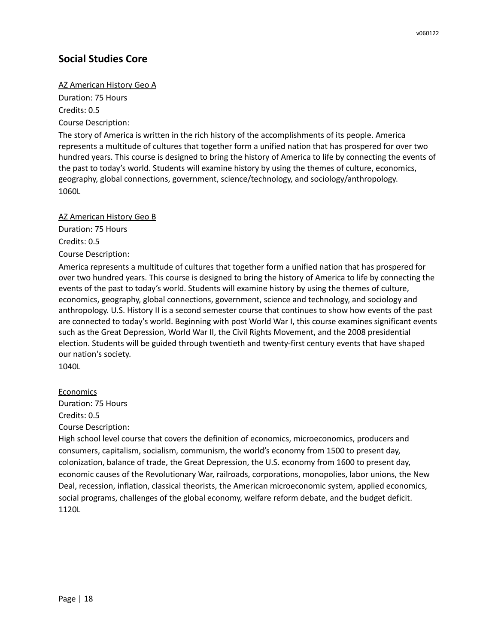# **Social Studies Core**

#### AZ American History Geo A

Duration: 75 Hours Credits: 0.5

Course Description:

The story of America is written in the rich history of the accomplishments of its people. America represents a multitude of cultures that together form a unified nation that has prospered for over two hundred years. This course is designed to bring the history of America to life by connecting the events of the past to today's world. Students will examine history by using the themes of culture, economics, geography, global connections, government, science/technology, and sociology/anthropology. 1060L

#### AZ American History Geo B

Duration: 75 Hours

Credits: 0.5

Course Description:

America represents a multitude of cultures that together form a unified nation that has prospered for over two hundred years. This course is designed to bring the history of America to life by connecting the events of the past to today's world. Students will examine history by using the themes of culture, economics, geography, global connections, government, science and technology, and sociology and anthropology. U.S. History II is a second semester course that continues to show how events of the past are connected to today's world. Beginning with post World War I, this course examines significant events such as the Great Depression, World War II, the Civil Rights Movement, and the 2008 presidential election. Students will be guided through twentieth and twenty-first century events that have shaped our nation's society.

1040L

#### Economics

Duration: 75 Hours Credits: 0.5

Course Description:

High school level course that covers the definition of economics, microeconomics, producers and consumers, capitalism, socialism, communism, the world's economy from 1500 to present day, colonization, balance of trade, the Great Depression, the U.S. economy from 1600 to present day, economic causes of the Revolutionary War, railroads, corporations, monopolies, labor unions, the New Deal, recession, inflation, classical theorists, the American microeconomic system, applied economics, social programs, challenges of the global economy, welfare reform debate, and the budget deficit. 1120L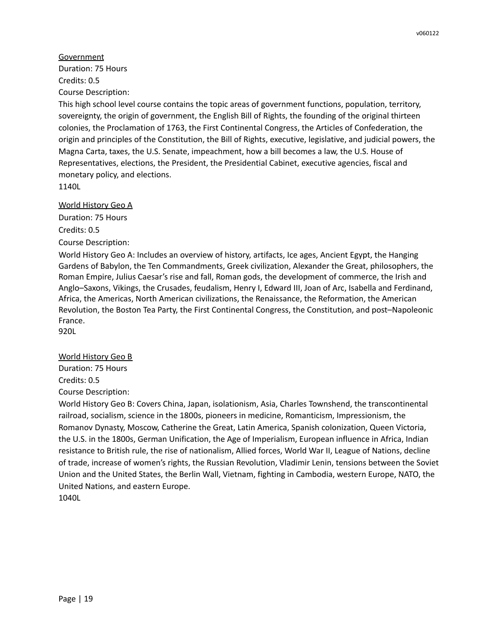**Government** Duration: 75 Hours Credits: 0.5 Course Description:

This high school level course contains the topic areas of government functions, population, territory, sovereignty, the origin of government, the English Bill of Rights, the founding of the original thirteen colonies, the Proclamation of 1763, the First Continental Congress, the Articles of Confederation, the origin and principles of the Constitution, the Bill of Rights, executive, legislative, and judicial powers, the Magna Carta, taxes, the U.S. Senate, impeachment, how a bill becomes a law, the U.S. House of Representatives, elections, the President, the Presidential Cabinet, executive agencies, fiscal and monetary policy, and elections.

1140L

#### World History Geo A

Duration: 75 Hours Credits: 0.5 Course Description:

World History Geo A: Includes an overview of history, artifacts, Ice ages, Ancient Egypt, the Hanging Gardens of Babylon, the Ten Commandments, Greek civilization, Alexander the Great, philosophers, the Roman Empire, Julius Caesar's rise and fall, Roman gods, the development of commerce, the Irish and Anglo–Saxons, Vikings, the Crusades, feudalism, Henry I, Edward III, Joan of Arc, Isabella and Ferdinand, Africa, the Americas, North American civilizations, the Renaissance, the Reformation, the American Revolution, the Boston Tea Party, the First Continental Congress, the Constitution, and post–Napoleonic France. 920L

#### World History Geo B

Duration: 75 Hours Credits: 0.5 Course Description:

World History Geo B: Covers China, Japan, isolationism, Asia, Charles Townshend, the transcontinental railroad, socialism, science in the 1800s, pioneers in medicine, Romanticism, Impressionism, the Romanov Dynasty, Moscow, Catherine the Great, Latin America, Spanish colonization, Queen Victoria, the U.S. in the 1800s, German Unification, the Age of Imperialism, European influence in Africa, Indian resistance to British rule, the rise of nationalism, Allied forces, World War II, League of Nations, decline of trade, increase of women's rights, the Russian Revolution, Vladimir Lenin, tensions between the Soviet Union and the United States, the Berlin Wall, Vietnam, fighting in Cambodia, western Europe, NATO, the United Nations, and eastern Europe. 1040L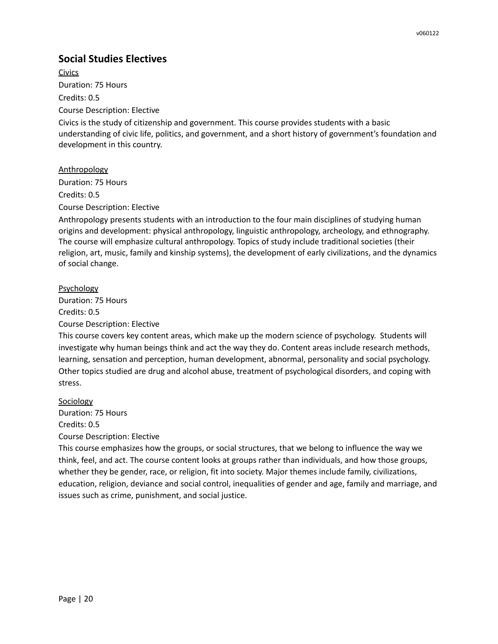# **Social Studies Electives**

Civics Duration: 75 Hours Credits: 0.5 Course Description: Elective

Civics is the study of citizenship and government. This course provides students with a basic understanding of civic life, politics, and government, and a short history of government's foundation and development in this country.

Anthropology Duration: 75 Hours Credits: 0.5

Course Description: Elective

Anthropology presents students with an introduction to the four main disciplines of studying human origins and development: physical anthropology, linguistic anthropology, archeology, and ethnography. The course will emphasize cultural anthropology. Topics of study include traditional societies (their religion, art, music, family and kinship systems), the development of early civilizations, and the dynamics of social change.

## Psychology

Duration: 75 Hours Credits: 0.5

Course Description: Elective

This course covers key content areas, which make up the modern science of psychology. Students will investigate why human beings think and act the way they do. Content areas include research methods, learning, sensation and perception, human development, abnormal, personality and social psychology. Other topics studied are drug and alcohol abuse, treatment of psychological disorders, and coping with stress.

Sociology

Duration: 75 Hours Credits: 0.5 Course Description: Elective

This course emphasizes how the groups, or social structures, that we belong to influence the way we think, feel, and act. The course content looks at groups rather than individuals, and how those groups, whether they be gender, race, or religion, fit into society. Major themes include family, civilizations, education, religion, deviance and social control, inequalities of gender and age, family and marriage, and issues such as crime, punishment, and social justice.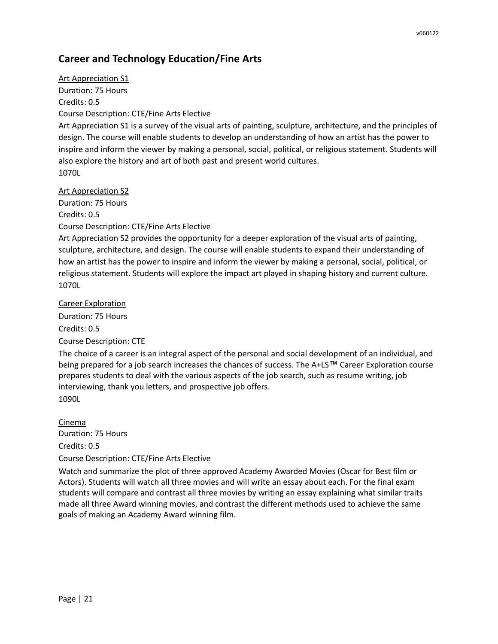# **Career and Technology Education/Fine Arts**

Art Appreciation S1 Duration: 75 Hours Credits: 0.5 Course Description: CTE/Fine Arts Elective Art Appreciation S1 is a survey of the visual arts of painting, sculpture, architecture, and the principles of design. The course will enable students to develop an understanding of how an artist has the power to inspire and inform the viewer by making a personal, social, political, or religious statement. Students will also explore the history and art of both past and present world cultures. 1070L

#### Art Appreciation S2

Duration: 75 Hours

Credits: 0.5

Course Description: CTE/Fine Arts Elective

Art Appreciation S2 provides the opportunity for a deeper exploration of the visual arts of painting, sculpture, architecture, and design. The course will enable students to expand their understanding of how an artist has the power to inspire and inform the viewer by making a personal, social, political, or religious statement. Students will explore the impact art played in shaping history and current culture. 1070L

Career Exploration Duration: 75 Hours Credits: 0.5 Course Description: CTE

The choice of a career is an integral aspect of the personal and social development of an individual, and being prepared for a job search increases the chances of success. The A+LS™ Career Exploration course prepares students to deal with the various aspects of the job search, such as resume writing, job interviewing, thank you letters, and prospective job offers. 1090L

Cinema Duration: 75 Hours Credits: 0.5

#### Course Description: CTE/Fine Arts Elective

Watch and summarize the plot of three approved Academy Awarded Movies (Oscar for Best film or Actors). Students will watch all three movies and will write an essay about each. For the final exam students will compare and contrast all three movies by writing an essay explaining what similar traits made all three Award winning movies, and contrast the different methods used to achieve the same goals of making an Academy Award winning film.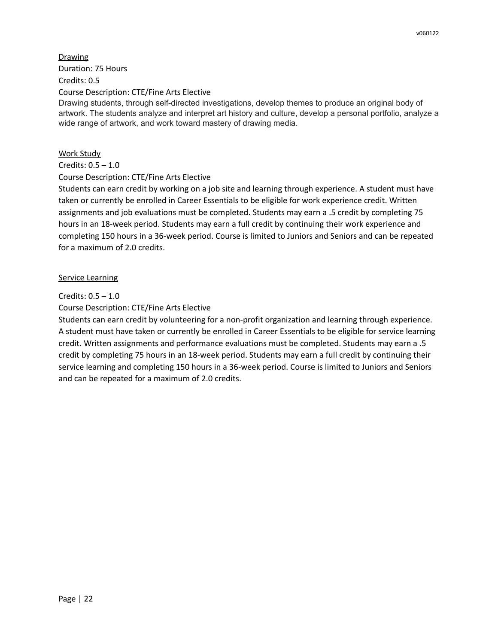**Drawing** Duration: 75 Hours Credits: 0.5 Course Description: CTE/Fine Arts Elective Drawing students, through self-directed investigations, develop themes to produce an original body of artwork. The students analyze and interpret art history and culture, develop a personal portfolio, analyze a wide range of artwork, and work toward mastery of drawing media.

## Work Study

## Credits: 0.5 – 1.0

## Course Description: CTE/Fine Arts Elective

Students can earn credit by working on a job site and learning through experience. A student must have taken or currently be enrolled in Career Essentials to be eligible for work experience credit. Written assignments and job evaluations must be completed. Students may earn a .5 credit by completing 75 hours in an 18-week period. Students may earn a full credit by continuing their work experience and completing 150 hours in a 36-week period. Course is limited to Juniors and Seniors and can be repeated for a maximum of 2.0 credits.

## Service Learning

## Credits: 0.5 – 1.0

## Course Description: CTE/Fine Arts Elective

Students can earn credit by volunteering for a non-profit organization and learning through experience. A student must have taken or currently be enrolled in Career Essentials to be eligible for service learning credit. Written assignments and performance evaluations must be completed. Students may earn a .5 credit by completing 75 hours in an 18-week period. Students may earn a full credit by continuing their service learning and completing 150 hours in a 36-week period. Course is limited to Juniors and Seniors and can be repeated for a maximum of 2.0 credits.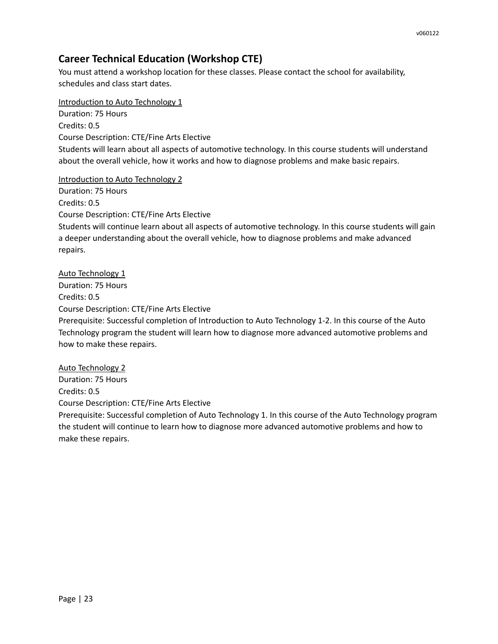# **Career Technical Education (Workshop CTE)**

You must attend a workshop location for these classes. Please contact the school for availability, schedules and class start dates.

Introduction to Auto Technology 1 Duration: 75 Hours Credits: 0.5 Course Description: CTE/Fine Arts Elective Students will learn about all aspects of automotive technology. In this course students will understand about the overall vehicle, how it works and how to diagnose problems and make basic repairs.

Introduction to Auto Technology 2

Duration: 75 Hours Credits: 0.5 Course Description: CTE/Fine Arts Elective Students will continue learn about all aspects of automotive technology. In this course students will gain a deeper understanding about the overall vehicle, how to diagnose problems and make advanced repairs.

Auto Technology 1 Duration: 75 Hours Credits: 0.5 Course Description: CTE/Fine Arts Elective Prerequisite: Successful completion of Introduction to Auto Technology 1-2. In this course of the Auto Technology program the student will learn how to diagnose more advanced automotive problems and how to make these repairs.

Auto Technology 2 Duration: 75 Hours Credits: 0.5 Course Description: CTE/Fine Arts Elective Prerequisite: Successful completion of Auto Technology 1. In this course of the Auto Technology program

the student will continue to learn how to diagnose more advanced automotive problems and how to make these repairs.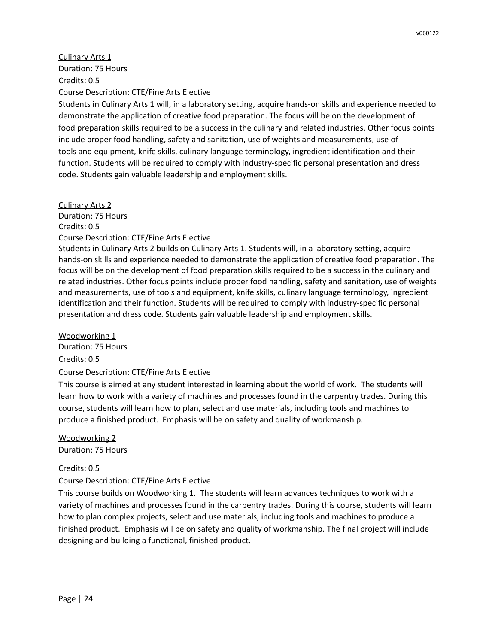Culinary Arts 1 Duration: 75 Hours Credits: 0.5 Course Description: CTE/Fine Arts Elective

Students in Culinary Arts 1 will, in a laboratory setting, acquire hands-on skills and experience needed to demonstrate the application of creative food preparation. The focus will be on the development of food preparation skills required to be a success in the culinary and related industries. Other focus points include proper food handling, safety and sanitation, use of weights and measurements, use of tools and equipment, knife skills, culinary language terminology, ingredient identification and their function. Students will be required to comply with industry-specific personal presentation and dress code. Students gain valuable leadership and employment skills.

Culinary Arts 2 Duration: 75 Hours Credits: 0.5 Course Description: CTE/Fine Arts Elective Students in Culinary Arts 2 builds on Culinary Arts 1. Students will, in a laboratory setting, acquire hands-on skills and experience needed to demonstrate the application of creative food preparation. The focus will be on the development of food preparation skills required to be a success in the culinary and

related industries. Other focus points include proper food handling, safety and sanitation, use of weights and measurements, use of tools and equipment, knife skills, culinary language terminology, ingredient identification and their function. Students will be required to comply with industry-specific personal presentation and dress code. Students gain valuable leadership and employment skills.

Woodworking 1

Duration: 75 Hours Credits: 0.5 Course Description: CTE/Fine Arts Elective

This course is aimed at any student interested in learning about the world of work. The students will learn how to work with a variety of machines and processes found in the carpentry trades. During this course, students will learn how to plan, select and use materials, including tools and machines to produce a finished product. Emphasis will be on safety and quality of workmanship.

Woodworking 2 Duration: 75 Hours

Credits: 0.5

Course Description: CTE/Fine Arts Elective

This course builds on Woodworking 1. The students will learn advances techniques to work with a variety of machines and processes found in the carpentry trades. During this course, students will learn how to plan complex projects, select and use materials, including tools and machines to produce a finished product. Emphasis will be on safety and quality of workmanship. The final project will include designing and building a functional, finished product.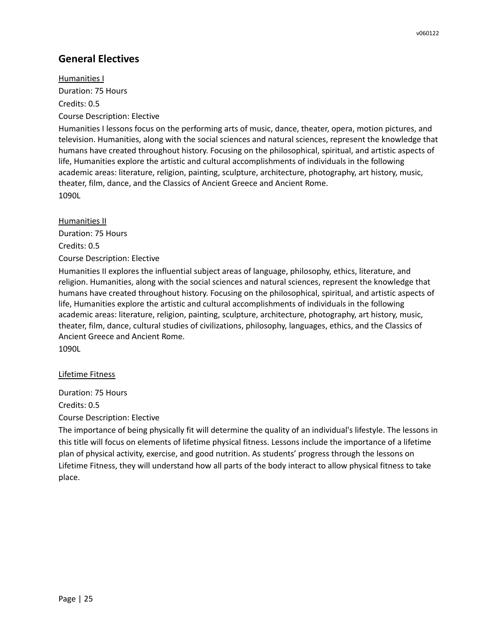# **General Electives**

Humanities I Duration: 75 Hours Credits: 0.5 Course Description: Elective

Humanities I lessons focus on the performing arts of music, dance, theater, opera, motion pictures, and television. Humanities, along with the social sciences and natural sciences, represent the knowledge that humans have created throughout history. Focusing on the philosophical, spiritual, and artistic aspects of life, Humanities explore the artistic and cultural accomplishments of individuals in the following academic areas: literature, religion, painting, sculpture, architecture, photography, art history, music, theater, film, dance, and the Classics of Ancient Greece and Ancient Rome. 1090L

Humanities II Duration: 75 Hours Credits: 0.5 Course Description: Elective

Humanities II explores the influential subject areas of language, philosophy, ethics, literature, and religion. Humanities, along with the social sciences and natural sciences, represent the knowledge that humans have created throughout history. Focusing on the philosophical, spiritual, and artistic aspects of life, Humanities explore the artistic and cultural accomplishments of individuals in the following academic areas: literature, religion, painting, sculpture, architecture, photography, art history, music, theater, film, dance, cultural studies of civilizations, philosophy, languages, ethics, and the Classics of Ancient Greece and Ancient Rome.

1090L

#### Lifetime Fitness

Duration: 75 Hours

Credits: 0.5

Course Description: Elective

The importance of being physically fit will determine the quality of an individual's lifestyle. The lessons in this title will focus on elements of lifetime physical fitness. Lessons include the importance of a lifetime plan of physical activity, exercise, and good nutrition. As students' progress through the lessons on Lifetime Fitness, they will understand how all parts of the body interact to allow physical fitness to take place.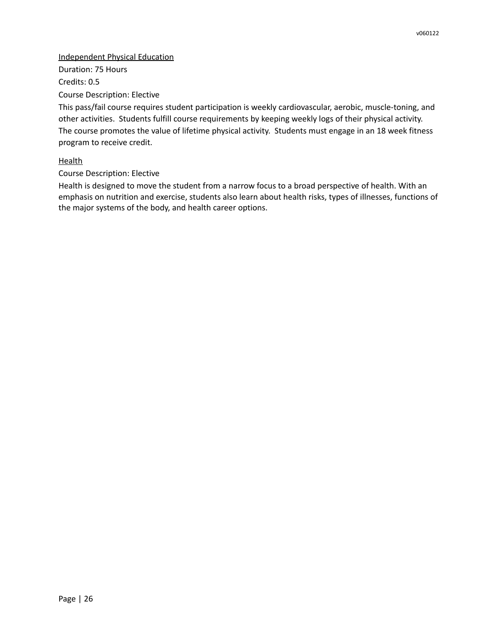#### Independent Physical Education

Duration: 75 Hours Credits: 0.5 Course Description: Elective

This pass/fail course requires student participation is weekly cardiovascular, aerobic, muscle-toning, and other activities. Students fulfill course requirements by keeping weekly logs of their physical activity. The course promotes the value of lifetime physical activity. Students must engage in an 18 week fitness program to receive credit.

## **Health**

Course Description: Elective

Health is designed to move the student from a narrow focus to a broad perspective of health. With an emphasis on nutrition and exercise, students also learn about health risks, types of illnesses, functions of the major systems of the body, and health career options.